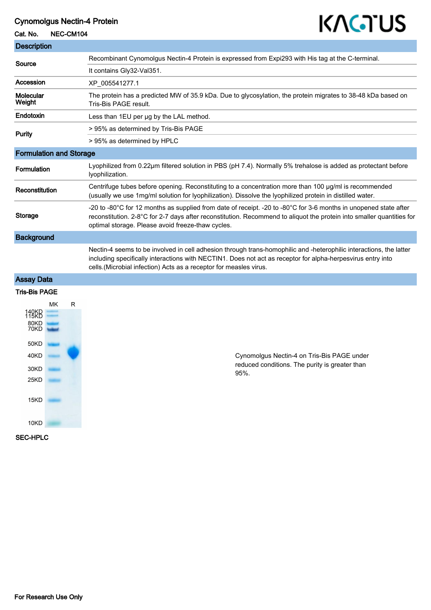## Cynomolgus Nectin-4 Protein

## Cat. No. NEC-CM104

# KAGTUS

| <b>Description</b>                                            |    |   |                                                                                                                                                                                                                                                                                                         |
|---------------------------------------------------------------|----|---|---------------------------------------------------------------------------------------------------------------------------------------------------------------------------------------------------------------------------------------------------------------------------------------------------------|
| Source                                                        |    |   | Recombinant Cynomolgus Nectin-4 Protein is expressed from Expi293 with His tag at the C-terminal.                                                                                                                                                                                                       |
|                                                               |    |   | It contains Gly32-Val351.                                                                                                                                                                                                                                                                               |
| Accession                                                     |    |   | XP_005541277.1                                                                                                                                                                                                                                                                                          |
| <b>Molecular</b><br>Weight                                    |    |   | The protein has a predicted MW of 35.9 kDa. Due to glycosylation, the protein migrates to 38-48 kDa based on<br>Tris-Bis PAGE result.                                                                                                                                                                   |
| Endotoxin                                                     |    |   | Less than 1EU per ug by the LAL method.                                                                                                                                                                                                                                                                 |
| <b>Purity</b>                                                 |    |   | > 95% as determined by Tris-Bis PAGE                                                                                                                                                                                                                                                                    |
|                                                               |    |   | > 95% as determined by HPLC                                                                                                                                                                                                                                                                             |
| <b>Formulation and Storage</b>                                |    |   |                                                                                                                                                                                                                                                                                                         |
| <b>Formulation</b>                                            |    |   | Lyophilized from 0.22µm filtered solution in PBS (pH 7.4). Normally 5% trehalose is added as protectant before<br>lyophilization.                                                                                                                                                                       |
| Reconstitution                                                |    |   | Centrifuge tubes before opening. Reconstituting to a concentration more than 100 $\mu$ g/ml is recommended<br>(usually we use 1mg/ml solution for lyophilization). Dissolve the lyophilized protein in distilled water.                                                                                 |
| <b>Storage</b>                                                |    |   | -20 to -80°C for 12 months as supplied from date of receipt. -20 to -80°C for 3-6 months in unopened state after<br>reconstitution. 2-8°C for 2-7 days after reconstitution. Recommend to aliquot the protein into smaller quantities for<br>optimal storage. Please avoid freeze-thaw cycles.          |
| <b>Background</b>                                             |    |   |                                                                                                                                                                                                                                                                                                         |
|                                                               |    |   | Nectin-4 seems to be involved in cell adhesion through trans-homophilic and -heterophilic interactions, the latter<br>including specifically interactions with NECTIN1. Does not act as receptor for alpha-herpesvirus entry into<br>cells. (Microbial infection) Acts as a receptor for measles virus. |
| <b>Assay Data</b>                                             |    |   |                                                                                                                                                                                                                                                                                                         |
| <b>Tris-Bis PAGE</b>                                          |    |   |                                                                                                                                                                                                                                                                                                         |
| 149KB<br>80KD<br>70KD<br>50KD<br>40KD<br>30KD<br>25KD<br>15KD | МK | R | Cynomolgus Nectin-4 on Tris-Bis PAGE under<br>reduced conditions. The purity is greater than<br>95%.                                                                                                                                                                                                    |
|                                                               |    |   |                                                                                                                                                                                                                                                                                                         |

SEC-HPLC

10KD **Contract Contract Contract Contract Contract**